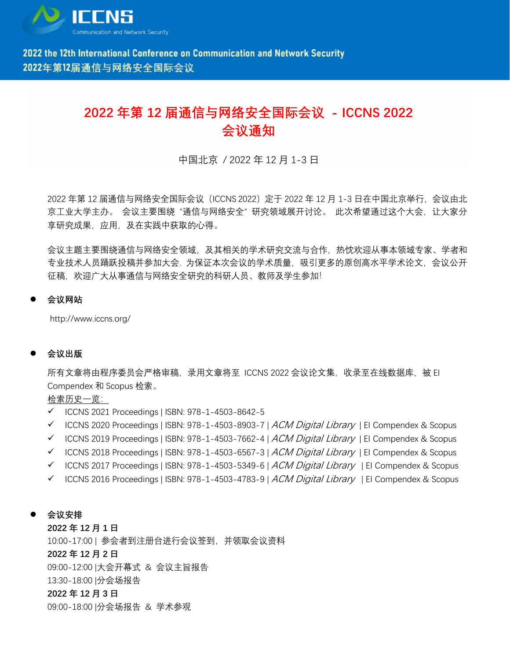

## **2022 年第 12 届通信与网络安全国际会议 - ICCNS 2022 会议通知**

中国北京 / 2022 年 12 月 1-3 日

2022 年第 12 届通信与网络安全国际会议(ICCNS 2022)定于 2022 年 12 月 1-3 日在中国北京举行,会议由北 京工业大学主办。 会议主要围绕"通信与网络安全"研究领域展开讨论。 此次希望通过这个大会, 让大家分 享研究成果,应用,及在实践中获取的心得。

会议主题主要围绕通信与网络安全领域,及其相关的学术研究交流与合作,热忱欢迎从事本领域专家、学者和 专业技术人员踊跃投稿并参加大会. 为保证本次会议的学术质量,吸引更多的原创高水平学术论文,会议公开 征稿,欢迎广大从事通信与网络安全研究的科研人员、教师及学生参加!

⚫ **会议网站**

<http://www.iccns.org/>

⚫ **会议出版**

所有文章将由程序委员会严格审稿,录用文章将至 ICCNS 2022 会议论文集,收录至在线数据库,被 EI Compendex 和 Scopus 检索。

检索历史一览:

- ✓ ICCNS 2021 Proceedings | ISBN: 978-1-4503-8642-5
- $\checkmark$  ICCNS 2020 Proceedings | ISBN: 978-1-4503-8903-7 | [ACM Digital Library](http://dl.acm.org/citation.cfm?id=3371676) | EI Compendex & Scopus
- ✓ ICCNS 2019 Proceedings | ISBN: 978-1-4503-7662-4 | [ACM Digital Library](http://dl.acm.org/citation.cfm?id=3371676) | EI Compendex & Scopus
- $\checkmark$  ICCNS 2018 Proceedings | ISBN: 978-1-4503-6567-3 | [ACM Digital Library](https://dl.acm.org/citation.cfm?id=3290480) | EI Compendex & Scopus
- ✓ ICCNS 2017 Proceedings | ISBN: 978-1-4503-5349-6 | [ACM Digital Library](https://dl.acm.org/citation.cfm?id=3163058) | EI Compendex & Scopus
- $\checkmark$  ICCNS 2016 Proceedings | ISBN: 978-1-4503-4783-9 | *[ACM Digital Library](https://dl.acm.org/citation.cfm?id=3017971)* | EI Compendex & Scopus
- ⚫ **会议安排**

**2022 年 12 月 1 日** 10:00-17:00 | 参会者到注册台进行会议签到,并领取会议资料 **2022 年 12 月 2 日** 09:00-12:00 |大会开幕式 & 会议主旨报告 13:30-18:00 |分会场报告 **2022 年 12 月 3 日** 09:00-18:00 |分会场报告 & 学术参观